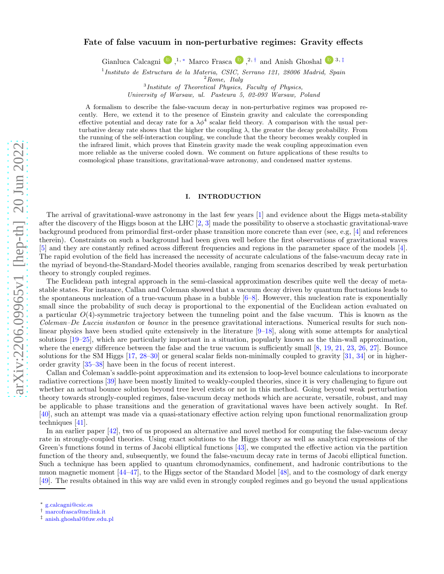# arXiv:2206.09965v1 [hep-th] 20 Jun 2022 [arXiv:2206.09965v1 \[hep-th\] 20 Jun 2022](http://arxiv.org/abs/2206.09965v1)

# Fate of false vacuum in non-perturbative regimes: Gravity effects

Gianluca Calcagni <sup>(D)</sup>,<sup>1,\*</sup> Marco Frasca <sup>(D)</sup>,<sup>2,[†](#page-0-1)</sup> and Anish Ghoshal <sup>(D)</sup><sup>3,[‡](#page-0-2)</sup>

<sup>1</sup> Instituto de Estructura de la Materia, CSIC, Serrano 121, 28006 Madrid, Spain

 ${}^{2}Rome, \; \; Italy$ 

3 Institute of Theoretical Physics, Faculty of Physics,

University of Warsaw, ul. Pasteura 5, 02-093 Warsaw, Poland

A formalism to describe the false-vacuum decay in non-perturbative regimes was proposed recently. Here, we extend it to the presence of Einstein gravity and calculate the corresponding effective potential and decay rate for a  $\lambda \phi^4$  scalar field theory. A comparison with the usual perturbative decay rate shows that the higher the coupling  $\lambda$ , the greater the decay probability. From the running of the self-interaction coupling, we conclude that the theory becomes weakly coupled in the infrared limit, which proves that Einstein gravity made the weak coupling approximation even more reliable as the universe cooled down. We comment on future applications of these results to cosmological phase transitions, gravitational-wave astronomy, and condensed matter systems.

### I. INTRODUCTION

The arrival of gravitational-wave astronomy in the last few years [\[1](#page-10-0)] and evidence about the Higgs meta-stability after the discovery of the Higgs boson at the LHC  $[2, 3]$  $[2, 3]$  $[2, 3]$  made the possibility to observe a stochastic gravitational-wave background produced from primordial first-order phase transition more concrete than ever (see, e.g, [\[4](#page-10-3)] and references therein). Constraints on such a background had been given well before the first observations of gravitational waves [\[5\]](#page-10-4) and they are constantly refined across different frequencies and regions in the parameter space of the models [\[4\]](#page-10-3). The rapid evolution of the field has increased the necessity of accurate calculations of the false-vacuum decay rate in the myriad of beyond-the-Standard-Model theories available, ranging from scenarios described by weak perturbation theory to strongly coupled regimes.

The Euclidean path integral approach in the semi-classical approximation describes quite well the decay of metastable states. For instance, Callan and Coleman showed that a vacuum decay driven by quantum fluctuations leads to the spontaneous nucleation of a true-vacuum phase in a bubble  $[6–8]$  $[6–8]$  $[6–8]$ . However, this nucleation rate is exponentially small since the probability of such decay is proportional to the exponential of the Euclidean action evaluated on a particular  $O(4)$ -symmetric trajectory between the tunneling point and the false vacuum. This is known as the Coleman–De Luccia instanton or bounce in the presence gravitational interactions. Numerical results for such nonlinear physics have been studied quite extensively in the literature [\[9](#page-11-0)[–18](#page-11-1)], along with some attempts for analytical solutions [\[19](#page-11-2)[–25\]](#page-11-3), which are particularly important in a situation, popularly known as the thin-wall approximation, where the energy difference between the false and the true vacuum is sufficiently small [\[8,](#page-10-6) [19,](#page-11-2) [21,](#page-11-4) [23,](#page-11-5) [26](#page-11-6), [27](#page-11-7)]. Bounce solutions for the SM Higgs [\[17](#page-11-8), [28](#page-11-9)[–30\]](#page-11-10) or general scalar fields non-minimally coupled to gravity [\[31,](#page-11-11) [34\]](#page-11-12) or in higherorder gravity [\[35](#page-11-13)[–38\]](#page-11-14) have been in the focus of recent interest.

Callan and Coleman's saddle-point approximation and its extension to loop-level bounce calculations to incorporate radiative corrections [\[39\]](#page-11-15) have been mostly limited to weakly-coupled theories, since it is very challenging to figure out whether an actual bounce solution beyond tree level exists or not in this method. Going beyond weak perturbation theory towards strongly-coupled regimes, false-vacuum decay methods which are accurate, versatile, robust, and may be applicable to phase transitions and the generation of gravitational waves have been actively sought. In Ref. [\[40\]](#page-11-16), such an attempt was made via a quasi-stationary effective action relying upon functional renormalization group techniques [\[41\]](#page-11-17).

In an earlier paper [\[42\]](#page-11-18), two of us proposed an alternative and novel method for computing the false-vacuum decay rate in strongly-coupled theories. Using exact solutions to the Higgs theory as well as analytical expressions of the Green's functions found in terms of Jacobi elliptical functions [\[43](#page-11-19)], we computed the effective action via the partition function of the theory and, subsequently, we found the false-vacuum decay rate in terms of Jacobi elliptical function. Such a technique has been applied to quantum chromodynamics, confinement, and hadronic contributions to the muon magnetic moment [\[44](#page-11-20)[–47](#page-11-21)], to the Higgs sector of the Standard Model [\[48\]](#page-11-22), and to the cosmology of dark energy [\[49\]](#page-12-0). The results obtained in this way are valid even in strongly coupled regimes and go beyond the usual applications

<span id="page-0-0"></span><sup>∗</sup> [g.calcagni@csic.es](mailto:g.calcagni@csic.es)

<span id="page-0-1"></span><sup>†</sup> [marcofrasca@mclink.it](mailto:marcofrasca@mclink.it)

<span id="page-0-2"></span><sup>‡</sup> [anish.ghoshal@fuw.edu.pl](mailto:anish.ghoshal@fuw.edu.pl)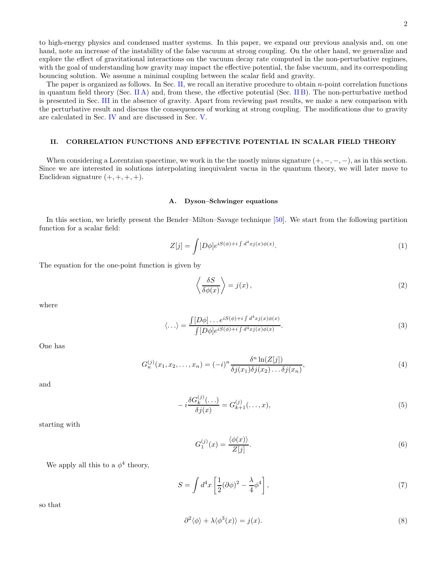to high-energy physics and condensed matter systems. In this paper, we expand our previous analysis and, on one hand, note an increase of the instability of the false vacuum at strong coupling. On the other hand, we generalize and explore the effect of gravitational interactions on the vacuum decay rate computed in the non-perturbative regimes, with the goal of understanding how gravity may impact the effective potential, the false vacuum, and its corresponding bouncing solution. We assume a minimal coupling between the scalar field and gravity.

The paper is organized as follows. In Sec. [II,](#page-1-0) we recall an iterative procedure to obtain  $n$ -point correlation functions in quantum field theory (Sec. [II A\)](#page-1-1) and, from these, the effective potential (Sec. [II B\)](#page-3-0). The non-perturbative method is presented in Sec. [III](#page-4-0) in the absence of gravity. Apart from reviewing past results, we make a new comparison with the perturbative result and discuss the consequences of working at strong coupling. The modifications due to gravity are calculated in Sec. [IV](#page-8-0) and are discussed in Sec. [V.](#page-9-0)

# <span id="page-1-0"></span>II. CORRELATION FUNCTIONS AND EFFECTIVE POTENTIAL IN SCALAR FIELD THEORY

When considering a Lorentzian spacetime, we work in the the mostly minus signature  $(+, -, -, -)$ , as in this section. Since we are interested in solutions interpolating inequivalent vacua in the quantum theory, we will later move to Euclidean signature  $(+, +, +, +)$ .

### <span id="page-1-1"></span>A. Dyson–Schwinger equations

In this section, we briefly present the Bender–Milton–Savage technique [\[50\]](#page-12-1). We start from the following partition function for a scalar field:

$$
Z[j] = \int [D\phi] e^{iS(\phi) + i \int d^4x j(x)\phi(x)}.
$$
 (1)

The equation for the one-point function is given by

$$
\left\langle \frac{\delta S}{\delta \phi(x)} \right\rangle = j(x),\tag{2}
$$

where

$$
\langle \ldots \rangle = \frac{\int [D\phi] \ldots e^{iS(\phi) + i \int d^4x j(x)\phi(x)}}{\int [D\phi] e^{iS(\phi) + i \int d^4x j(x)\phi(x)}}.
$$
\n(3)

One has

$$
G_n^{(j)}(x_1, x_2, \dots, x_n) = (-i)^n \frac{\delta^n \ln(Z[j])}{\delta j(x_1)\delta j(x_2)\dots\delta j(x_n)},\tag{4}
$$

and

$$
-i\frac{\delta G_k^{(j)}(\ldots)}{\delta j(x)} = G_{k+1}^{(j)}(\ldots, x),\tag{5}
$$

starting with

$$
G_1^{(j)}(x) = \frac{\langle \phi(x) \rangle}{Z[j]}.\tag{6}
$$

We apply all this to a  $\phi^4$  theory,

$$
S = \int d^4x \left[ \frac{1}{2} (\partial \phi)^2 - \frac{\lambda}{4} \phi^4 \right],\tag{7}
$$

so that

<span id="page-1-2"></span>
$$
\partial^2 \langle \phi \rangle + \lambda \langle \phi^3(x) \rangle = j(x). \tag{8}
$$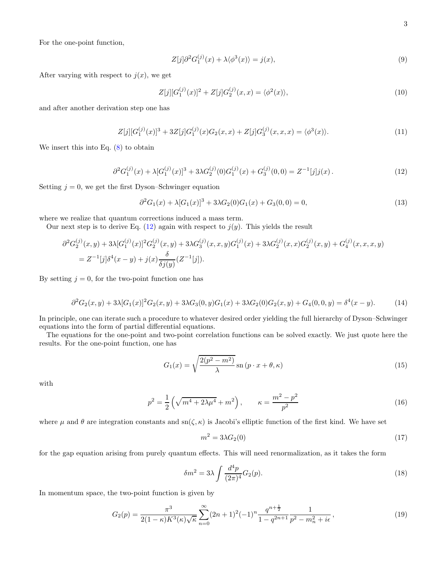For the one-point function,

$$
Z[j]\partial^2 G_1^{(j)}(x) + \lambda \langle \phi^3(x) \rangle = j(x),\tag{9}
$$

After varying with respect to  $j(x)$ , we get

$$
Z[j][G_1^{(j)}(x)]^2 + Z[j]G_2^{(j)}(x,x) = \langle \phi^2(x) \rangle, \tag{10}
$$

and after another derivation step one has

$$
Z[j][G_1^{(j)}(x)]^3 + 3Z[j]G_1^{(j)}(x)G_2(x,x) + Z[j]G_3^{(j)}(x,x,x) = \langle \phi^3(x) \rangle.
$$
\n(11)

We insert this into Eq.  $(8)$  to obtain

<span id="page-2-0"></span>
$$
\partial^2 G_1^{(j)}(x) + \lambda [G_1^{(j)}(x)]^3 + 3\lambda G_2^{(j)}(0)G_1^{(j)}(x) + G_3^{(j)}(0,0) = Z^{-1}[j]j(x). \tag{12}
$$

Setting  $j = 0$ , we get the first Dyson–Schwinger equation

$$
\partial^2 G_1(x) + \lambda [G_1(x)]^3 + 3\lambda G_2(0)G_1(x) + G_3(0,0) = 0,
$$
\n(13)

where we realize that quantum corrections induced a mass term.

Our next step is to derive Eq.  $(12)$  again with respect to  $j(y)$ . This yields the result

$$
\partial^2 G_2^{(j)}(x,y) + 3\lambda [G_1^{(j)}(x)]^2 G_2^{(j)}(x,y) + 3\lambda G_3^{(j)}(x,x,y)G_1^{(j)}(x) + 3\lambda G_2^{(j)}(x,x)G_2^{(j)}(x,y) + G_4^{(j)}(x,x,x,y)
$$
  
=  $Z^{-1}[j]\delta^4(x-y) + j(x)\frac{\delta}{\delta j(y)}(Z^{-1}[j]).$ 

By setting  $j = 0$ , for the two-point function one has

$$
\partial^2 G_2(x,y) + 3\lambda [G_1(x)]^2 G_2(x,y) + 3\lambda G_3(0,y)G_1(x) + 3\lambda G_2(0)G_2(x,y) + G_4(0,0,y) = \delta^4(x-y). \tag{14}
$$

In principle, one can iterate such a procedure to whatever desired order yielding the full hierarchy of Dyson–Schwinger equations into the form of partial differential equations.

The equations for the one-point and two-point correlation functions can be solved exactly. We just quote here the results. For the one-point function, one has

$$
G_1(x) = \sqrt{\frac{2(p^2 - m^2)}{\lambda}} \operatorname{sn}(p \cdot x + \theta, \kappa)
$$
\n(15)

with

$$
p^2 = \frac{1}{2} \left( \sqrt{m^4 + 2\lambda\mu^4} + m^2 \right), \qquad \kappa = \frac{m^2 - p^2}{p^2}
$$
 (16)

where  $\mu$  and  $\theta$  are integration constants and sn( $\zeta, \kappa$ ) is Jacobi's elliptic function of the first kind. We have set

$$
m^2 = 3\lambda G_2(0) \tag{17}
$$

for the gap equation arising from purely quantum effects. This will need renormalization, as it takes the form

$$
\delta m^2 = 3\lambda \int \frac{d^4 p}{(2\pi)^4} G_2(p). \tag{18}
$$

In momentum space, the two-point function is given by

<span id="page-2-1"></span>
$$
G_2(p) = \frac{\pi^3}{2(1-\kappa)K^3(\kappa)\sqrt{\kappa}} \sum_{n=0}^{\infty} (2n+1)^2(-1)^n \frac{q^{n+\frac{1}{2}}}{1-q^{2n+1}} \frac{1}{p^2 - m_n^2 + i\epsilon},
$$
\n(19)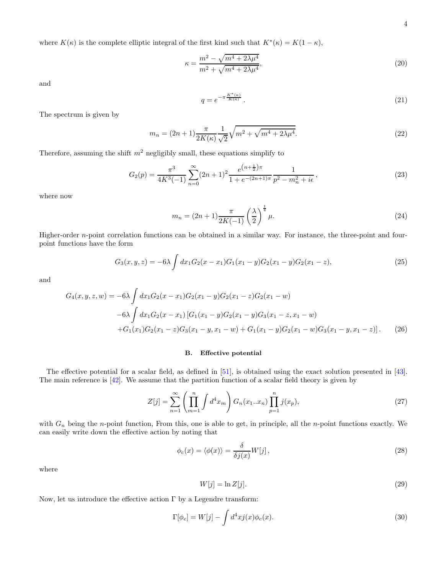4

where  $K(\kappa)$  is the complete elliptic integral of the first kind such that  $K^*(\kappa) = K(1 - \kappa)$ ,

$$
\kappa = \frac{m^2 - \sqrt{m^4 + 2\lambda\mu^4}}{m^2 + \sqrt{m^4 + 2\lambda\mu^4}},\tag{20}
$$

and

$$
q = e^{-\pi \frac{K^*(\kappa)}{K(\kappa)}}.
$$
\n
$$
(21)
$$

The spectrum is given by

$$
m_n = (2n+1)\frac{\pi}{2K(\kappa)}\frac{1}{\sqrt{2}}\sqrt{m^2 + \sqrt{m^4 + 2\lambda\mu^4}}.
$$
\n(22)

Therefore, assuming the shift  $m^2$  negligibly small, these equations simplify to

<span id="page-3-1"></span>
$$
G_2(p) = \frac{\pi^3}{4K^3(-1)} \sum_{n=0}^{\infty} (2n+1)^2 \frac{e^{(n+\frac{1}{2})\pi}}{1+e^{-(2n+1)\pi}} \frac{1}{p^2 - m_n^2 + i\epsilon},
$$
\n(23)

where now

$$
m_n = (2n+1)\frac{\pi}{2K(-1)} \left(\frac{\lambda}{2}\right)^{\frac{1}{4}} \mu.
$$
 (24)

Higher-order n-point correlation functions can be obtained in a similar way. For instance, the three-point and fourpoint functions have the form

$$
G_3(x, y, z) = -6\lambda \int dx_1 G_2(x - x_1) G_1(x_1 - y) G_2(x_1 - y) G_2(x_1 - z), \qquad (25)
$$

and

$$
G_4(x, y, z, w) = -6\lambda \int dx_1 G_2(x - x_1) G_2(x_1 - y) G_2(x_1 - z) G_2(x_1 - w)
$$
  
\n
$$
-6\lambda \int dx_1 G_2(x - x_1) [G_1(x_1 - y) G_2(x_1 - y) G_3(x_1 - z, x_1 - w) + G_1(x_1) G_2(x_1 - z) G_3(x_1 - y, x_1 - w) + G_1(x_1 - y) G_2(x_1 - w) G_3(x_1 - y, x_1 - z)].
$$
\n(26)

### <span id="page-3-0"></span>B. Effective potential

The effective potential for a scalar field, as defined in [\[51\]](#page-12-2), is obtained using the exact solution presented in [\[43\]](#page-11-19). The main reference is [\[42\]](#page-11-18). We assume that the partition function of a scalar field theory is given by

$$
Z[j] = \sum_{n=1}^{\infty} \left( \prod_{m=1}^{n} \int d^4 x_m \right) G_n(x_1...x_n) \prod_{p=1}^{n} j(x_p), \tag{27}
$$

with  $G_n$  being the n-point function, From this, one is able to get, in principle, all the n-point functions exactly. We can easily write down the effective action by noting that

$$
\phi_c(x) = \langle \phi(x) \rangle = \frac{\delta}{\delta j(x)} W[j], \qquad (28)
$$

where

$$
W[j] = \ln Z[j].\tag{29}
$$

Now, let us introduce the effective action  $\Gamma$  by a Legendre transform:

$$
\Gamma[\phi_c] = W[j] - \int d^4x j(x)\phi_c(x). \tag{30}
$$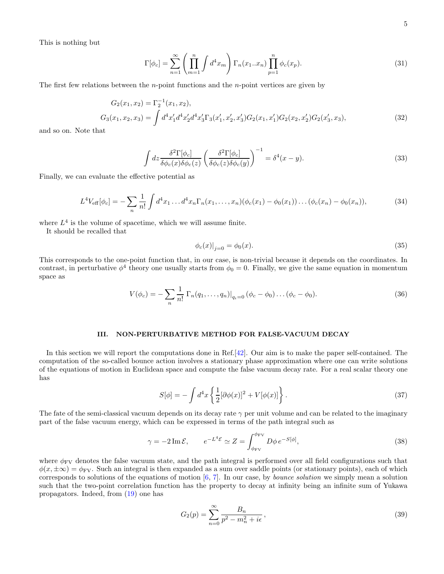This is nothing but

$$
\Gamma[\phi_c] = \sum_{n=1}^{\infty} \left( \prod_{m=1}^{n} \int d^4 x_m \right) \Gamma_n(x_1 \dots x_n) \prod_{p=1}^{n} \phi_c(x_p). \tag{31}
$$

The first few relations between the n-point functions and the n-point vertices are given by

<span id="page-4-2"></span>
$$
G_2(x_1, x_2) = \Gamma_2^{-1}(x_1, x_2),
$$
  
\n
$$
G_3(x_1, x_2, x_3) = \int d^4x'_1 d^4x'_2 d^4x'_3 \Gamma_3(x'_1, x'_2, x'_3) G_2(x_1, x'_1) G_2(x_2, x'_2) G_2(x'_3, x_3),
$$
\n(32)

and so on. Note that

$$
\int dz \frac{\delta^2 \Gamma[\phi_c]}{\delta \phi_c(x) \delta \phi_c(z)} \left( \frac{\delta^2 \Gamma[\phi_c]}{\delta \phi_c(z) \delta \phi_c(y)} \right)^{-1} = \delta^4(x - y). \tag{33}
$$

Finally, we can evaluate the effective potential as

$$
L^4 V_{\text{eff}}[\phi_c] = -\sum_n \frac{1}{n!} \int d^4 x_1 \dots d^4 x_n \Gamma_n(x_1, \dots, x_n) (\phi_c(x_1) - \phi_0(x_1)) \dots (\phi_c(x_n) - \phi_0(x_n)), \tag{34}
$$

where  $L<sup>4</sup>$  is the volume of spacetime, which we will assume finite.

It should be recalled that

$$
\phi_c(x)|_{j=0} = \phi_0(x). \tag{35}
$$

This corresponds to the one-point function that, in our case, is non-trivial because it depends on the coordinates. In contrast, in perturbative  $\phi^4$  theory one usually starts from  $\phi_0 = 0$ . Finally, we give the same equation in momentum space as

<span id="page-4-1"></span>
$$
V(\phi_c) = -\sum_{n} \frac{1}{n!} \Gamma_n(q_1, \dots, q_n)|_{q_i=0} (\phi_c - \phi_0) \dots (\phi_c - \phi_0).
$$
 (36)

# <span id="page-4-0"></span>III. NON-PERTURBATIVE METHOD FOR FALSE-VACUUM DECAY

In this section we will report the computations done in Ref.[\[42](#page-11-18)]. Our aim is to make the paper self-contained. The computation of the so-called bounce action involves a stationary phase approximation where one can write solutions of the equations of motion in Euclidean space and compute the false vacuum decay rate. For a real scalar theory one has

$$
S[\phi] = -\int d^4x \left\{ \frac{1}{2} [\partial \phi(x)]^2 + V[\phi(x)] \right\}.
$$
 (37)

The fate of the semi-classical vacuum depends on its decay rate  $\gamma$  per unit volume and can be related to the imaginary part of the false vacuum energy, which can be expressed in terms of the path integral such as

$$
\gamma = -2 \operatorname{Im} \mathcal{E}, \qquad e^{-L^4 \mathcal{E}} \simeq Z = \int_{\phi_{\text{FV}}}^{\phi_{\text{FV}}} D\phi \, e^{-S[\phi]}, \tag{38}
$$

where  $\phi_{\rm FV}$  denotes the false vacuum state, and the path integral is performed over all field configurations such that  $\phi(x,\pm\infty) = \phi_{\rm FV}$ . Such an integral is then expanded as a sum over saddle points (or stationary points), each of which corresponds to solutions of the equations of motion [\[6,](#page-10-5) [7\]](#page-10-7). In our case, by bounce solution we simply mean a solution such that the two-point correlation function has the property to decay at infinity being an infinite sum of Yukawa propagators. Indeed, from [\(19\)](#page-2-1) one has

$$
G_2(p) = \sum_{n=0}^{\infty} \frac{B_n}{p^2 - m_n^2 + i\epsilon},\tag{39}
$$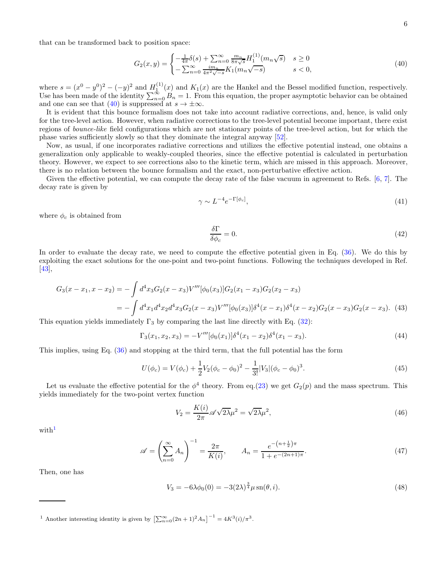that can be transformed back to position space:

<span id="page-5-0"></span>
$$
G_2(x,y) = \begin{cases} -\frac{1}{4\pi}\delta(s) + \sum_{n=0}^{\infty} \frac{m_n}{8\pi\sqrt{s}} H_1^{(1)}(m_n\sqrt{s}) & s \ge 0\\ -\sum_{n=0}^{\infty} \frac{im_n}{4\pi^2\sqrt{-s}} K_1(m_n\sqrt{-s}) & s < 0, \end{cases}
$$
(40)

where  $s = (x^0 - y^0)^2 - (-y)^2$  and  $H_1^{(1)}(x)$  and  $K_1(x)$  are the Hankel and the Bessel modified function, respectively. Use has been made of the identity  $\sum_{n=0}^{\infty} B_n = 1$ . From this equation, the proper asymptotic behavior can be obtained and one can see that [\(40\)](#page-5-0) is suppressed at  $s \to \pm \infty$ .

It is evident that this bounce formalism does not take into account radiative corrections, and, hence, is valid only for the tree-level action. However, when radiative corrections to the tree-level potential become important, there exist regions of bounce-like field configurations which are not stationary points of the tree-level action, but for which the phase varies sufficiently slowly so that they dominate the integral anyway [\[52\]](#page-12-3).

Now, as usual, if one incorporates radiative corrections and utilizes the effective potential instead, one obtains a generalization only applicable to weakly-coupled theories, since the effective potential is calculated in perturbation theory. However, we expect to see corrections also to the kinetic term, which are missed in this approach. Moreover, there is no relation between the bounce formalism and the exact, non-perturbative effective action.

Given the effective potential, we can compute the decay rate of the false vacuum in agreement to Refs. [\[6](#page-10-5), [7\]](#page-10-7). The decay rate is given by

$$
\gamma \sim L^{-4} e^{-\Gamma[\phi_c]},\tag{41}
$$

where  $\phi_c$  is obtained from

$$
\frac{\delta \Gamma}{\delta \phi_c} = 0. \tag{42}
$$

In order to evaluate the decay rate, we need to compute the effective potential given in Eq.  $(36)$ . We do this by exploiting the exact solutions for the one-point and two-point functions. Following the techniques developed in Ref.  $[43],$  $[43],$ 

$$
G_3(x - x_1, x - x_2) = -\int d^4x_3 G_2(x - x_3)V'''[\phi_0(x_3)]G_2(x_1 - x_3)G_2(x_2 - x_3)
$$
  
= 
$$
-\int d^4x_1 d^4x_2 d^4x_3G_2(x - x_3)V'''[\phi_0(x_3)]\delta^4(x - x_1)\delta^4(x - x_2)G_2(x - x_3)G_2(x - x_3). \tag{43}
$$

This equation yields immediately  $\Gamma_3$  by comparing the last line directly with Eq. [\(32\)](#page-4-2):

$$
\Gamma_3(x_1, x_2, x_3) = -V'''[\phi_0(x_1)]\delta^4(x_1 - x_2)\delta^4(x_1 - x_3). \tag{44}
$$

This implies, using Eq. [\(36\)](#page-4-1) and stopping at the third term, that the full potential has the form

<span id="page-5-2"></span>
$$
U(\phi_c) = V(\phi_c) + \frac{1}{2}V_2(\phi_c - \phi_0)^2 - \frac{1}{3!}V_3|(\phi_c - \phi_0)^3.
$$
\n(45)

Let us evaluate the effective potential for the  $\phi^4$  theory. From eq.[\(23\)](#page-3-1) we get  $G_2(p)$  and the mass spectrum. This yields immediately for the two-point vertex function

$$
V_2 = \frac{K(i)}{2\pi} \mathscr{A} \sqrt{2\lambda} \mu^2 = \sqrt{2\lambda} \mu^2,\tag{46}
$$

with<sup>[1](#page-5-1)</sup>

$$
\mathscr{A} = \left(\sum_{n=0}^{\infty} A_n\right)^{-1} = \frac{2\pi}{K(i)}, \qquad A_n = \frac{e^{-(n+\frac{1}{2})\pi}}{1 + e^{-(2n+1)\pi}}.
$$
\n(47)

Then, one has

$$
V_3 = -6\lambda\phi_0(0) = -3(2\lambda)^{\frac{3}{4}}\mu\operatorname{sn}(\theta, i).
$$
 (48)

<span id="page-5-1"></span><sup>1</sup> Another interesting identity is given by  $\left[\sum_{n=0}^{\infty} (2n+1)^2 A_n\right]^{-1} = 4K^3(i)/\pi^3$ .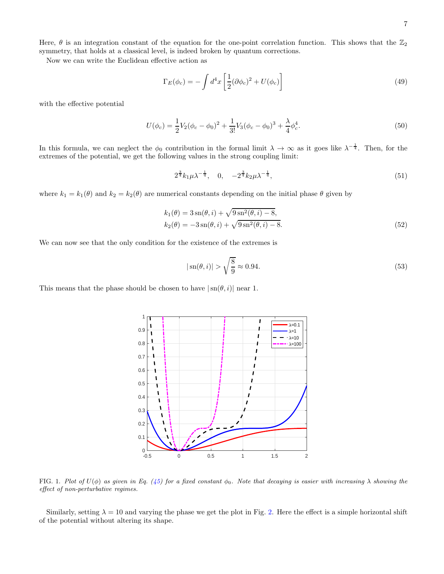Here,  $\theta$  is an integration constant of the equation for the one-point correlation function. This shows that the  $\mathbb{Z}_2$ symmetry, that holds at a classical level, is indeed broken by quantum corrections.

Now we can write the Euclidean effective action as

$$
\Gamma_E(\phi_c) = -\int d^4x \left[ \frac{1}{2} (\partial \phi_c)^2 + U(\phi_c) \right]
$$
\n(49)

with the effective potential

<span id="page-6-0"></span>
$$
U(\phi_c) = \frac{1}{2}V_2(\phi_c - \phi_0)^2 + \frac{1}{3!}V_3(\phi_c - \phi_0)^3 + \frac{\lambda}{4}\phi_c^4.
$$
\n(50)

In this formula, we can neglect the  $\phi_0$  contribution in the formal limit  $\lambda \to \infty$  as it goes like  $\lambda^{-\frac{1}{4}}$ . Then, for the extremes of the potential, we get the following values in the strong coupling limit:

$$
2^{\frac{3}{4}}k_1\mu\lambda^{-\frac{1}{4}}, \quad 0, \quad -2^{\frac{3}{4}}k_2\mu\lambda^{-\frac{1}{4}}, \tag{51}
$$

where  $k_1 = k_1(\theta)$  and  $k_2 = k_2(\theta)$  are numerical constants depending on the initial phase  $\theta$  given by

$$
k_1(\theta) = 3 \operatorname{sn}(\theta, i) + \sqrt{9 \operatorname{sn}^2(\theta, i) - 8},
$$
  
\n
$$
k_2(\theta) = -3 \operatorname{sn}(\theta, i) + \sqrt{9 \operatorname{sn}^2(\theta, i) - 8}.
$$
\n(52)

We can now see that the only condition for the existence of the extremes is

$$
|\operatorname{sn}(\theta, i)| > \sqrt{\frac{8}{9}} \approx 0.94. \tag{53}
$$

This means that the phase should be chosen to have  $|\text{sn}(\theta, i)|$  near 1.



<span id="page-6-1"></span>FIG. 1. Plot of  $U(\phi)$  as given in Eq. [\(45\)](#page-5-2) for a fixed constant  $\phi_0$ . Note that decaying is easier with increasing  $\lambda$  showing the effect of non-perturbative regimes.

Similarly, setting  $\lambda = 10$  and varying the phase we get the plot in Fig. [2.](#page-7-0) Here the effect is a simple horizontal shift of the potential without altering its shape.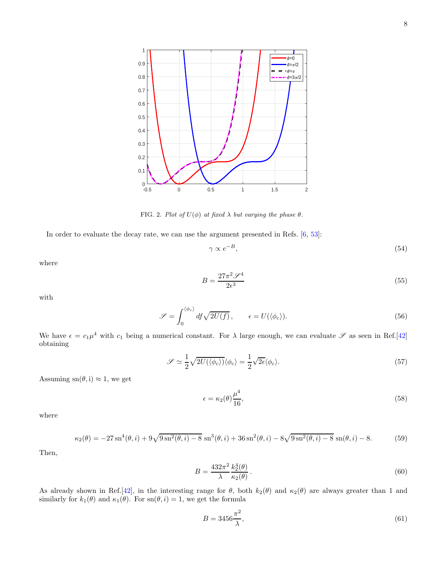

<span id="page-7-0"></span>FIG. 2. Plot of  $U(\phi)$  at fixed  $\lambda$  but varying the phase  $\theta$ .

In order to evaluate the decay rate, we can use the argument presented in Refs. [\[6,](#page-10-5) [53\]](#page-12-4):

$$
\gamma \propto e^{-B},\tag{54}
$$

where

$$
B = \frac{27\pi^2 \mathscr{S}^4}{2\epsilon^3} \tag{55}
$$

with

<span id="page-7-1"></span>
$$
\mathscr{S} = \int_0^{\langle \phi_c \rangle} df \sqrt{2U(f)}, \qquad \epsilon = U(\langle \phi_c \rangle). \tag{56}
$$

We have  $\epsilon = c_1 \mu^4$  with  $c_1$  being a numerical constant. For  $\lambda$  large enough, we can evaluate  $\mathscr S$  as seen in Ref.[\[42](#page-11-18)] obtaining

$$
\mathscr{S} \simeq \frac{1}{2} \sqrt{2U(\langle \phi_c \rangle)} \langle \phi_c \rangle = \frac{1}{2} \sqrt{2\epsilon} \langle \phi_c \rangle.
$$
 (57)

Assuming sn( $\theta$ , i)  $\approx$  1, we get

<span id="page-7-2"></span>
$$
\epsilon = \kappa_2(\theta) \frac{\mu^4}{16},\tag{58}
$$

where

$$
\kappa_2(\theta) = -27\sin^4(\theta, i) + 9\sqrt{9\sin^2(\theta, i) - 8}\sin^3(\theta, i) + 36\sin^2(\theta, i) - 8\sqrt{9\sin^2(\theta, i) - 8}\sin(\theta, i) - 8. \tag{59}
$$

Then,

<span id="page-7-3"></span>
$$
B = \frac{432\pi^2}{\lambda} \frac{k_2^4(\theta)}{\kappa_2(\theta)}.
$$
\n
$$
(60)
$$

As already shown in Ref.[\[42](#page-11-18)], in the interesting range for  $\theta$ , both  $k_2(\theta)$  and  $\kappa_2(\theta)$  are always greater than 1 and similarly for  $k_1(\theta)$  and  $\kappa_1(\theta)$ . For  $\text{sn}(\theta, i) = 1$ , we get the formula

$$
B = 3456 \frac{\pi^2}{\lambda},\tag{61}
$$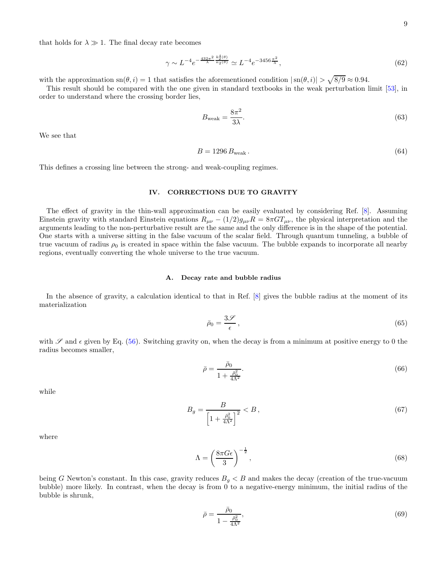that holds for  $\lambda \gg 1$ . The final decay rate becomes

<span id="page-8-5"></span>
$$
\gamma \sim L^{-4} e^{-\frac{432\pi^2}{\lambda} \frac{k_2^4(\theta)}{\kappa_2(\theta)}} \simeq L^{-4} e^{-3456 \frac{\pi^2}{\lambda}},\tag{62}
$$

with the approximation  $\operatorname{sn}(\theta, i) = 1$  that satisfies the aforementioned condition  $|\operatorname{sn}(\theta, i)| > \sqrt{8/9} \approx 0.94$ .

This result should be compared with the one given in standard textbooks in the weak perturbation limit [\[53\]](#page-12-4), in order to understand where the crossing border lies,

<span id="page-8-4"></span>
$$
B_{\text{weak}} = \frac{8\pi^2}{3\lambda}.\tag{63}
$$

We see that

<span id="page-8-1"></span>
$$
B = 1296 Bweak.
$$
\n
$$
(64)
$$

This defines a crossing line between the strong- and weak-coupling regimes.

# <span id="page-8-0"></span>IV. CORRECTIONS DUE TO GRAVITY

The effect of gravity in the thin-wall approximation can be easily evaluated by considering Ref. [\[8\]](#page-10-6). Assuming Einstein gravity with standard Einstein equations  $R_{\mu\nu} - (1/2)g_{\mu\nu}R = 8\pi GT_{\mu\nu}$ , the physical interpretation and the arguments leading to the non-perturbative result are the same and the only difference is in the shape of the potential. One starts with a universe sitting in the false vacuum of the scalar field. Through quantum tunneling, a bubble of true vacuum of radius  $\rho_0$  is created in space within the false vacuum. The bubble expands to incorporate all nearby regions, eventually converting the whole universe to the true vacuum.

### A. Decay rate and bubble radius

In the absence of gravity, a calculation identical to that in Ref.  $\left|8\right|$  gives the bubble radius at the moment of its materialization

<span id="page-8-2"></span>
$$
\bar{\rho}_0 = \frac{3\mathcal{S}}{\epsilon},\tag{65}
$$

with  $\mathscr S$  and  $\epsilon$  given by Eq. [\(56\)](#page-7-1). Switching gravity on, when the decay is from a minimum at positive energy to 0 the radius becomes smaller,

$$
\bar{\rho} = \frac{\bar{\rho}_0}{1 + \frac{\bar{\rho}_0^2}{4\Lambda^2}}.\tag{66}
$$

while

<span id="page-8-6"></span>
$$
B_g = \frac{B}{\left[1 + \frac{\bar{\rho}_0^2}{4\Lambda^2}\right]^2} < B \,,\tag{67}
$$

where

<span id="page-8-3"></span>
$$
\Lambda = \left(\frac{8\pi G\epsilon}{3}\right)^{-\frac{1}{2}},\tag{68}
$$

being G Newton's constant. In this case, gravity reduces  $B<sub>g</sub> < B$  and makes the decay (creation of the true-vacuum bubble) more likely. In contrast, when the decay is from 0 to a negative-energy minimum, the initial radius of the bubble is shrunk,

$$
\bar{\rho} = \frac{\bar{\rho}_0}{1 - \frac{\bar{\rho}_0^2}{4\Lambda^2}},\tag{69}
$$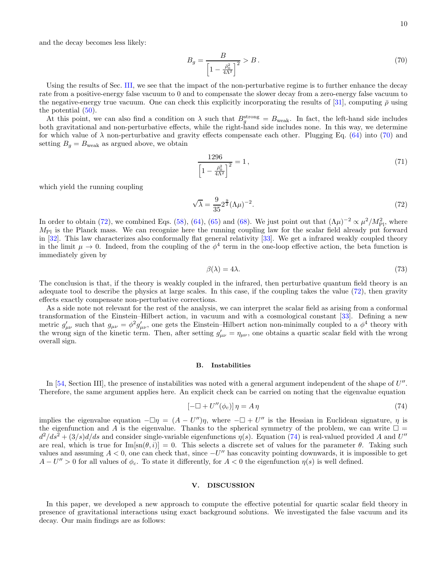and the decay becomes less likely:

<span id="page-9-1"></span>
$$
B_g = \frac{B}{\left[1 - \frac{\bar{\rho}_0^2}{4\Lambda^2}\right]^2} > B \,. \tag{70}
$$

Using the results of Sec. [III,](#page-4-0) we see that the impact of the non-perturbative regime is to further enhance the decay rate from a positive-energy false vacuum to 0 and to compensate the slower decay from a zero-energy false vacuum to the negative-energy true vacuum. One can check this explicitly incorporating the results of [\[31\]](#page-11-11), computing  $\bar{\rho}$  using the potential  $(50)$ .

At this point, we can also find a condition on  $\lambda$  such that  $B_g^{\text{strong}} = B_{\text{weak}}$ . In fact, the left-hand side includes both gravitational and non-perturbative effects, while the right-hand side includes none. In this way, we determine for which value of  $\lambda$  non-perturbative and gravity effects compensate each other. Plugging Eq. [\(64\)](#page-8-1) into [\(70\)](#page-9-1) and setting  $B_g = B_{\text{weak}}$  as argued above, we obtain

$$
\frac{1296}{\left[1 - \frac{\bar{\rho}_0^2}{4\Lambda^2}\right]^2} = 1\,,\tag{71}
$$

which yield the running coupling

<span id="page-9-2"></span>
$$
\sqrt{\lambda} = \frac{9}{35} 2^{\frac{9}{2}} (\Lambda \mu)^{-2}.
$$
\n(72)

In order to obtain [\(72\)](#page-9-2), we combined Eqs. [\(58\)](#page-7-2), [\(64\)](#page-8-1), [\(65\)](#page-8-2) and [\(68\)](#page-8-3). We just point out that  $(\Lambda \mu)^{-2} \propto \mu^2 / M_{\text{Pl}}^2$ , where  $M_{\text{Pl}}$  is the Planck mass. We can recognize here the running coupling law for the scalar field already put forward in [\[32\]](#page-11-23). This law characterizes also conformally flat general relativity [\[33\]](#page-11-24). We get a infrared weakly coupled theory in the limit  $\mu \to 0$ . Indeed, from the coupling of the  $\phi^4$  term in the one-loop effective action, the beta function is immediately given by

$$
\beta(\lambda) = 4\lambda. \tag{73}
$$

The conclusion is that, if the theory is weakly coupled in the infrared, then perturbative quantum field theory is an adequate tool to describe the physics at large scales. In this case, if the coupling takes the value [\(72\)](#page-9-2), then gravity effects exactly compensate non-perturbative corrections.

As a side note not relevant for the rest of the analysis, we can interpret the scalar field as arising from a conformal transformation of the Einstein–Hilbert action, in vacuum and with a cosmological constant [\[33](#page-11-24)]. Defining a new metric  $g'_{\mu\nu}$  such that  $g_{\mu\nu} = \phi^2 g'_{\mu\nu}$ , one gets the Einstein–Hilbert action non-minimally coupled to a  $\phi^4$  theory with the wrong sign of the kinetic term. Then, after setting  $g'_{\mu\nu} = \eta_{\mu\nu}$ , one obtains a quartic scalar field with the wrong overall sign.

## B. Instabilities

In [\[54,](#page-12-5) Section III], the presence of instabilities was noted with a general argument independent of the shape of  $U''$ . Therefore, the same argument applies here. An explicit check can be carried on noting that the eigenvalue equation

<span id="page-9-3"></span>
$$
\left[-\Box + U''(\phi_c)\right]\eta = A\,\eta\tag{74}
$$

implies the eigenvalue equation  $-\Box \eta = (A - U'')\eta$ , where  $-\Box + U''$  is the Hessian in Euclidean signature,  $\eta$  is the eigenfunction and A is the eigenvalue. Thanks to the spherical symmetry of the problem, we can write  $\Box$  =  $d^2/ds^2 + (3/s)d/ds$  and consider single-variable eigenfunctions  $\eta(s)$ . Equation [\(74\)](#page-9-3) is real-valued provided A and U'' are real, which is true for  $\text{Im}[\text{sn}(\theta, i)] = 0$ . This selects a discrete set of values for the parameter  $\theta$ . Taking such values and assuming  $A < 0$ , one can check that, since  $-U''$  has concavity pointing downwards, it is impossible to get  $A - U'' > 0$  for all values of  $\phi_c$ . To state it differently, for  $A < 0$  the eigenfunction  $\eta(s)$  is well defined.

# <span id="page-9-0"></span>V. DISCUSSION

In this paper, we developed a new approach to compute the effective potential for quartic scalar field theory in presence of gravitational interactions using exact background solutions. We investigated the false vacuum and its decay. Our main findings are as follows: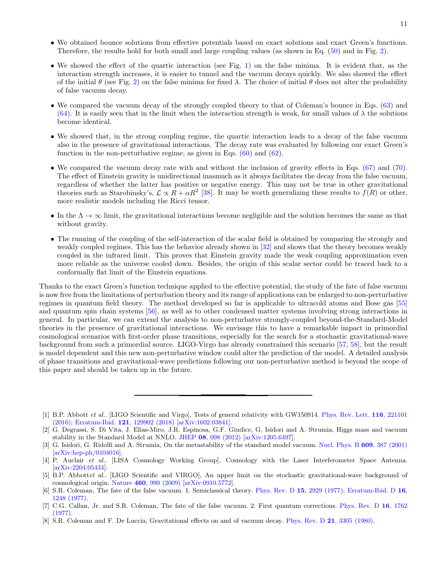- We obtained bounce solutions from effective potentials based on exact solutions and exact Green's functions. Therefore, the results hold for both small and large coupling values (as shown in Eq. [\(50\)](#page-6-0) and in Fig. [2\)](#page-7-0).
- We showed the effect of the quartic interaction (see Fig. [1\)](#page-6-1) on the false minima. It is evident that, as the interaction strength increases, it is easier to tunnel and the vacuum decays quickly. We also showed the effect of the initial  $\theta$  (see Fig. [2\)](#page-7-0) on the false minima for fixed  $\lambda$ . The choice of initial  $\theta$  does not alter the probability of false vacuum decay.
- We compared the vacuum decay of the strongly coupled theory to that of Coleman's bounce in Eqs. [\(63\)](#page-8-4) and [\(64\)](#page-8-1). It is easily seen that in the limit when the interaction strength is weak, for small values of  $\lambda$  the solutions become identical.
- We showed that, in the strong coupling regime, the quartic interaction leads to a decay of the false vacuum also in the presence of gravitational interactions. The decay rate was evaluated by following our exact Green's function in the non-perturbative regime, as given in Eqs.  $(60)$  and  $(62)$ .
- We compared the vacuum decay rate with and without the inclusion of gravity effects in Eqs. [\(67\)](#page-8-6) and [\(70\)](#page-9-1). The effect of Einstein gravity is unidirectional inasmuch as it always facilitates the decay from the false vacuum, regardless of whether the latter has positive or negative energy. This may not be true in other gravitational theories such as Starobinsky's,  $\mathcal{L} \propto R + \alpha R^2$  [\[38](#page-11-14)]. It may be worth generalizing these results to  $f(R)$  or other, more realistic models including the Ricci tensor.
- In the  $\Lambda \to \infty$  limit, the gravitational interactions become negligible and the solution becomes the same as that without gravity.
- The running of the coupling of the self-interaction of the scalar field is obtained by comparing the strongly and weakly coupled regimes. This has the behavior already shown in [\[32](#page-11-23)] and shows that the theory becomes weakly coupled in the infrared limit. This proves that Einstein gravity made the weak coupling approximation even more reliable as the universe cooled down. Besides, the origin of this scalar sector could be traced back to a conformally flat limit of the Einstein equations.

Thanks to the exact Green's function technique applied to the effective potential, the study of the fate of false vacuum is now free from the limitations of perturbation theory and its range of applications can be enlarged to non-perturbative regimes in quantum field theory. The method developed so far is applicable to ultracold atoms and Bose gas [\[55](#page-12-6)] and quantum spin chain systems [\[56\]](#page-12-7), as well as to other condensed matter systems involving strong interactions in general. In particular, we can extend the analysis to non-perturbatve strongly-coupled beyond-the-Standard-Model theories in the presence of gravitational interactions. We envisage this to have a remarkable impact in primordial cosmological scenarios with first-order phase transitions, especially for the search for a stochastic gravitational-wave background from such a primordial source. LIGO-Virgo has already constrained this scenario [\[57,](#page-12-8) [58\]](#page-12-9), but the result is model dependent and this new non-perturbative window could alter the prediction of the model. A detailed analysis of phase transitions and gravitational-wave predictions following our non-perturbative method is beyond the scope of this paper and should be taken up in the future.

<span id="page-10-6"></span>[8] S.R. Coleman and F. De Luccia, Gravitational effects on and of vacuum decay. Phys. Rev. D 21[, 3305 \(1980\).](http://dx.doi.org/10.1103/PhysRevD.21.3305)

<span id="page-10-0"></span><sup>[1]</sup> B.P. Abbott et al.. [LIGO Scientific and Virgo], Tests of general relativity with GW150914. Phys. Rev. Lett. 116, 221101 (2016); Erratum-Ibid. 121[, 129902 \(2018\)](http://dx.doi.org/10.1103/PhysRevLett.121.129902) [\[arXiv:1602.03841\]](http://arxiv.org/abs/1602.03841).

<span id="page-10-1"></span><sup>[2]</sup> G. Degrassi, S. Di Vita, J. Elias-Miro, J.R. Espinosa, G.F. Giudice, G. Isidori and A. Strumia, Higgs mass and vacuum stability in the Standard Model at NNLO. JHEP 08[, 098 \(2012\)](http://dx.doi.org/10.1007/JHEP08(2012)098) [\[arXiv:1205.6497\]](http://arxiv.org/abs/1205.6497).

<span id="page-10-2"></span><sup>[3]</sup> G. Isidori, G. Ridolfi and A. Strumia, On the metastability of the standard model vacuum. [Nucl. Phys. B](http://dx.doi.org/10.1016/S0550-3213(01)00302-9) 609, 387 (2001)  $[\arXiv:hep-ph/0104016]$ .

<span id="page-10-3"></span><sup>[4]</sup> P. Auclair et al.. [LISA Cosmology Working Group], Cosmology with the Laser Interferometer Space Antenna. [\[arXiv:2204.05434\]](http://arxiv.org/abs/2204.05434).

<span id="page-10-4"></span><sup>[5]</sup> B.P. Abbottet al.. [LIGO Scientific and VIRGO], An upper limit on the stochastic gravitational-wave background of cosmological origin. Nature 460[, 990 \(2009\)](http://dx.doi.org/10.1038/nature08278) [\[arXiv:0910.5772\]](http://arxiv.org/abs/0910.5772).

<span id="page-10-5"></span><sup>[6]</sup> S.R. Coleman, The fate of the false vacuum. 1. Semiclassical theory. [Phys. Rev. D](http://dx.doi.org/10.1103/PhysRevD.15.2929) 15, 2929 (1977); Erratum-Ibid. D 16, 1248 (1977).

<span id="page-10-7"></span><sup>[7]</sup> C.G. Callan, Jr. and S.R. Coleman, The fate of the false vacuum. 2. First quantum corrections. Phys. Rev. D 16, 1762 (1977).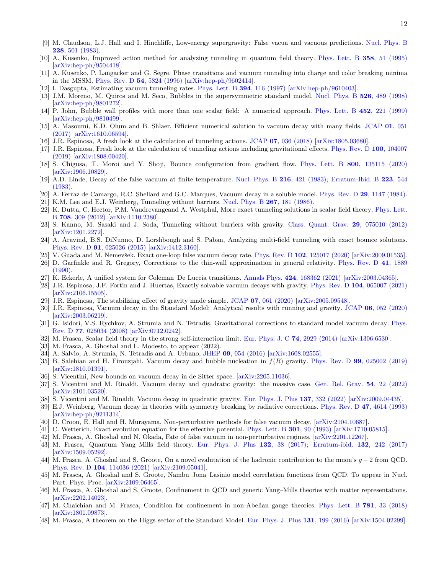- <span id="page-11-0"></span>[9] M. Claudson, L.J. Hall and I. Hinchliffe, Low-energy supergravity: False vacua and vacuous predictions. Nucl. Phys. B 228, 501 (1983).
- [10] A. Kusenko, Improved action method for analyzing tunneling in quantum field theory. [Phys. Lett. B](http://dx.doi.org/10.1016/0370-2693(95)00994-V) 358, 51 (1995) [\[arXiv:hep-ph/9504418\]](http://arxiv.org/abs/hep-ph/9504418).
- [11] A. Kusenko, P. Langacker and G. Segre, Phase transitions and vacuum tunneling into charge and color breaking minima in the MSSM. [Phys. Rev. D](http://dx.doi.org/10.1103/PhysRevD.54.5824) 54, 5824 (1996) [\[arXiv:hep-ph/9602414\]](http://arxiv.org/abs/hep-ph/9602414).
- [12] I. Dasgupta, Estimating vacuum tunneling rates. [Phys. Lett. B](http://dx.doi.org/10.1016/S0370-2693(96)01685-1) 394, 116 (1997) [\[arXiv:hep-ph/9610403\]](http://arxiv.org/abs/hep-ph/9610403).
- [13] J.M. Moreno, M. Quiros and M. Seco, Bubbles in the supersymmetric standard model. [Nucl. Phys. B](http://dx.doi.org/10.1016/S0550-3213(98)00283-1) 526, 489 (1998) [\[arXiv:hep-ph/9801272\]](http://arxiv.org/abs/hep-ph/9801272).
- [14] P. John, Bubble wall profiles with more than one scalar field: A numerical approach. [Phys. Lett. B](http://dx.doi.org/10.1016/S0370-2693(99)00272-5) 452, 221 (1999) [\[arXiv:hep-ph/9810499\]](http://arxiv.org/abs/hep-ph/9810499).
- [15] A. Masoumi, K.D. Olum and B. Shlaer, Efficient numerical solution to vacuum decay with many fields. JCAP 01, 051 (2017) [\[arXiv:1610.06594\]](http://arxiv.org/abs/1610.06594).
- [16] J.R. Espinosa, A fresh look at the calculation of tunneling actions. JCAP 07[, 036 \(2018\)](http://dx.doi.org/10.1088/1475-7516/2018/07/036) [\[arXiv:1805.03680\]](http://arxiv.org/abs/1805.03680).
- <span id="page-11-8"></span>[17] J.R. Espinosa, Fresh look at the calculation of tunneling actions including gravitational effects. Phys. Rev. D 100, 104007 (2019) [\[arXiv:1808.00420\]](http://arxiv.org/abs/1808.00420).
- <span id="page-11-1"></span>[18] S. Chigusa, T. Moroi and Y. Shoji, Bounce configuration from gradient flow. Phys. Lett. B 800[, 135115 \(2020\)](http://dx.doi.org/10.1016/j.physletb.2019.135115) [\[arXiv:1906.10829\]](http://arxiv.org/abs/1906.10829).
- <span id="page-11-2"></span>[19] A.D. Linde, Decay of the false vacuum at finite temperature. [Nucl. Phys. B](http://dx.doi.org/10.1016/0550-3213(83)90293-6) 216, 421 (1983); Erratum-Ibid. B 223, 544 (1983).
- [20] A. Ferraz de Camargo, R.C. Shellard and G.C. Marques, Vacuum decay in a soluble model. [Phys. Rev. D](http://dx.doi.org/10.1103/PhysRevD.29.1147) 29, 1147 (1984).
- <span id="page-11-4"></span>[21] K.M. Lee and E.J. Weinberg, Tunneling without barriers. [Nucl. Phys. B](http://dx.doi.org/10.1016/0550-3213(86)90150-1) 267, 181 (1986).
- [22] K. Dutta, C. Hector, P.M. Vaudrevangeand A. Westphal, More exact tunneling solutions in scalar field theory. Phys. Lett. B 708, 309 (2012) [\[arXiv:1110.2380\]](http://arxiv.org/abs/1110.2380).
- <span id="page-11-5"></span>[23] S. Kanno, M. Sasaki and J. Soda, Tunneling without barriers with gravity. [Class. Quant. Grav.](http://dx.doi.org/10.1088/0264-9381/29/7/075010) 29, 075010 (2012) [\[arXiv:1201.2272\]](http://arxiv.org/abs/1201.2272).
- [24] A. Aravind, B.S. DiNunno, D. Lorshbough and S. Paban, Analyzing multi-field tunneling with exact bounce solutions. Phys. Rev. D 91[, 025026 \(2015\)](http://dx.doi.org/10.1103/PhysRevD.91.025026) [\[arXiv:1412.3160\]](http://arxiv.org/abs/1412.3160).
- <span id="page-11-3"></span>[25] V. Guada and M. Nemevšek, Exact one-loop false vacuum decay rate. Phys. Rev. D  $102$ ,  $125017$  (2020) [\[arXiv:2009.01535\]](http://arxiv.org/abs/2009.01535).
- <span id="page-11-6"></span>[26] D. Garfinkle and R. Gregory, Corrections to the thin-wall approximation in general relativity. Phys. Rev. D 41, 1889  $(1990)$ .
- <span id="page-11-7"></span>[27] K. Eckerle, A unified system for Coleman–De Luccia transitions. Annals Phys. 424[, 168362 \(2021\)](http://dx.doi.org/10.1016/j.aop.2020.168362) [\[arXiv:2003.04365\]](http://arxiv.org/abs/2003.04365).
- <span id="page-11-9"></span>[28] J.R. Espinosa, J.F. Fortin and J. Huertas, Exactly solvable vacuum decays with gravity. Phys. Rev. D 104[, 065007 \(2021\)](http://dx.doi.org/10.1103/PhysRevD.104.065007)  $[\arXiv:2106.15505]$ .
- [29] J.R. Espinosa, The stabilizing effect of gravity made simple. JCAP 07[, 061 \(2020\)](http://dx.doi.org/10.1088/1475-7516/2020/07/061) [\[arXiv:2005.09548\]](http://arxiv.org/abs/2005.09548).
- <span id="page-11-10"></span>[30] J.R. Espinosa, Vacuum decay in the Standard Model: Analytical results with running and gravity. JCAP 06[, 052 \(2020\)](http://dx.doi.org/10.1088/1475-7516/2020/06/052) [\[arXiv:2003.06219\]](http://arxiv.org/abs/2003.06219).
- <span id="page-11-11"></span>[31] G. Isidori, V.S. Rychkov, A. Strumia and N. Tetradis, Gravitational corrections to standard model vacuum decay. Phys. Rev. D 77, 025034 (2008) [\[arXiv:0712.0242\]](http://arxiv.org/abs/0712.0242).
- <span id="page-11-23"></span>[32] M. Frasca, Scalar field theory in the strong self-interaction limit. [Eur. Phys. J. C](http://dx.doi.org/10.1140/epjc/s10052-014-2929-9) 74, 2929 (2014) [\[arXiv:1306.6530\]](http://arxiv.org/abs/1306.6530).
- <span id="page-11-24"></span>[33] M. Frasca, A. Ghoshal and L. Modesto, to appear (2022).
- <span id="page-11-12"></span>[34] A. Salvio, A. Strumia, N. Tetradis and A. Urbano, JHEP 09[, 054 \(2016\)](http://dx.doi.org/10.1007/JHEP09(2016)054) [\[arXiv:1608.02555\]](http://arxiv.org/abs/1608.02555).
- <span id="page-11-13"></span>[35] B. Salehian and H. Firouzjahi, Vacuum decay and bubble nucleation in  $f(R)$  gravity. Phys. Rev. D 99[, 025002 \(2019\)](http://dx.doi.org/10.1103/PhysRevD.99.025002) [\[arXiv:1810.01391\]](http://arxiv.org/abs/1810.01391).
- [36] S. Vicentini, New bounds on vacuum decay in de Sitter space. [\[arXiv:2205.11036\]](http://arxiv.org/abs/2205.11036).
- [37] S. Vicentini and M. Rinaldi, Vacuum decay and quadratic gravity: the massive case. [Gen. Rel. Grav.](http://dx.doi.org/10.1007/s10714-022-02907-6) 54, 22 (2022) [\[arXiv:2101.03520\]](http://arxiv.org/abs/2101.03520).
- <span id="page-11-14"></span>[38] S. Vicentini and M. Rinaldi, Vacuum decay in quadratic gravity. [Eur. Phys. J. Plus](http://dx.doi.org/10.1140/epjp/s13360-022-02529-6) 137, 332 (2022) [\[arXiv:2009.04435\]](http://arxiv.org/abs/2009.04435).
- <span id="page-11-15"></span>[39] E.J. Weinberg, Vacuum decay in theories with symmetry breaking by radiative corrections. [Phys. Rev. D](http://dx.doi.org/10.1103/PhysRevD.47.4614) 47, 4614 (1993)  $arXiv:hep-ph/9211314$ .
- <span id="page-11-16"></span>[40] D. Croon, E. Hall and H. Murayama, Non-perturbative methods for false vacuum decay. [\[arXiv:2104.10687\]](http://arxiv.org/abs/2104.10687).
- <span id="page-11-17"></span>[41] C. Wetterich, Exact evolution equation for the effective potential. [Phys. Lett. B](http://dx.doi.org/10.1016/0370-2693(93)90726-X) 301, 90 (1993) [\[arXiv:1710.05815\]](http://arxiv.org/abs/1710.05815).
- <span id="page-11-18"></span>[42] M. Frasca, A. Ghoshal and N. Okada, Fate of false vacuum in non-perturbative regimes. [\[arXiv:2201.12267\]](http://arxiv.org/abs/2201.12267).
- <span id="page-11-19"></span>[43] M. Frasca, Quantum Yang–Mills field theory. [Eur. Phys. J. Plus](http://dx.doi.org/10.1140/epjp/i2017-11321-4) 132, 38 (2017); [Erratum-ibid.](http://dx.doi.org/10.1140/epjp/i2017-11563-0) 132, 242 (2017) [\[arXiv:1509.05292\]](http://arxiv.org/abs/1509.05292).
- <span id="page-11-20"></span>[44] M. Frasca, A. Ghoshal and S. Groote, On a novel evalutation of the hadronic contribution to the muon's g − 2 from QCD. Phys. Rev. D 104[, 114036 \(2021\)](http://dx.doi.org/10.1103/PhysRevD.104.114036) [\[arXiv:2109.05041\]](http://arxiv.org/abs/2109.05041).
- [45] M. Frasca, A. Ghoshal and S. Groote, Nambu–Jona–Lasinio model correlation functions from QCD. To appear in Nucl. Part. Phys. Proc. [\[arXiv:2109.06465\]](http://arxiv.org/abs/2109.06465).
- [46] M. Frasca, A. Ghoshal and S. Groote, Confinement in QCD and generic Yang–Mills theories with matter representations. [\[arXiv:2202.14023\]](http://arxiv.org/abs/2202.14023).
- <span id="page-11-21"></span>[47] M. Chaichian and M. Frasca, Condition for confinement in non-Abelian gauge theories. [Phys. Lett. B](http://dx.doi.org/10.1016/j.physletb.2018.03.067) 781, 33 (2018) [\[arXiv:1801.09873\]](http://arxiv.org/abs/1801.09873).
- <span id="page-11-22"></span>[48] M. Frasca, A theorem on the Higgs sector of the Standard Model. [Eur. Phys. J. Plus](http://dx.doi.org/10.1140/epjp/i2016-16199-x) 131, 199 (2016) [\[arXiv:1504.02299\]](http://arxiv.org/abs/1504.02299).